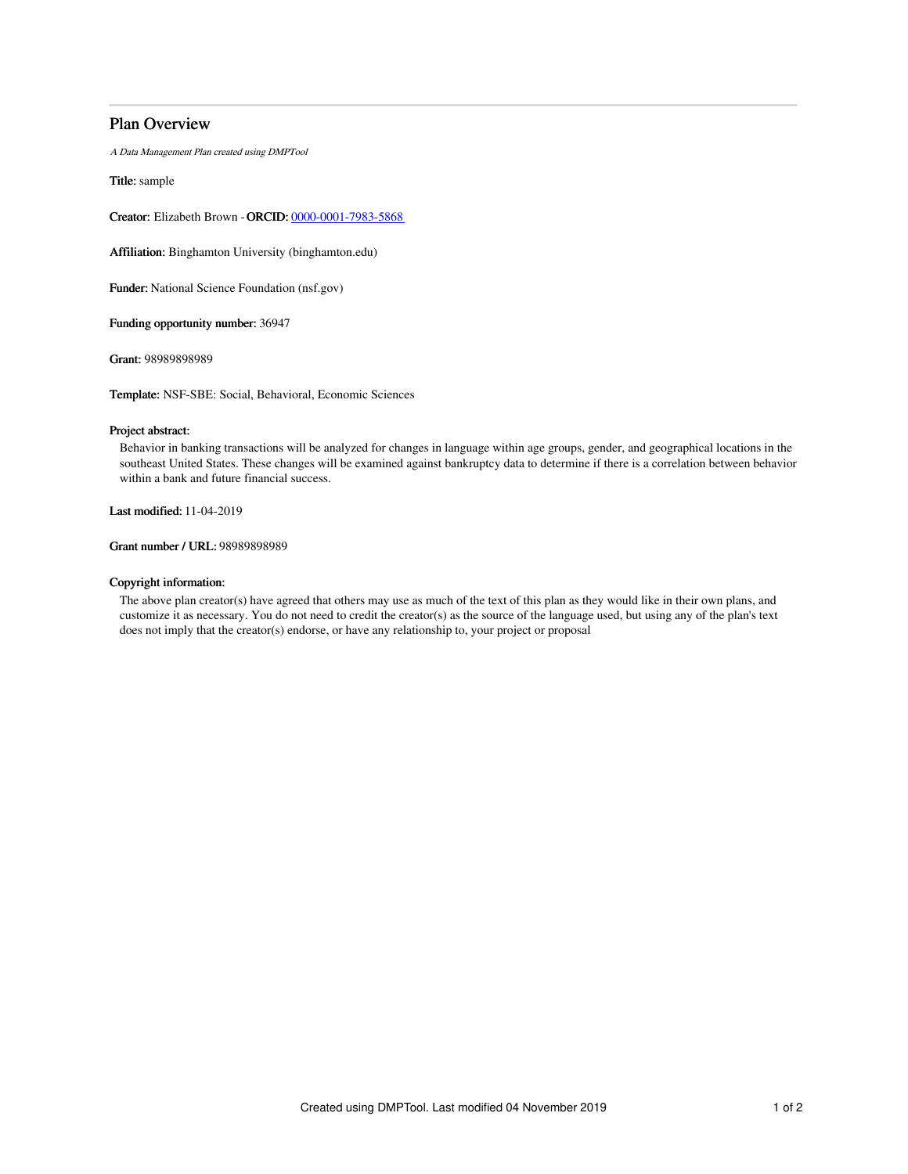# Plan Overview

A Data Management Plan created using DMPTool

Title: sample

Creator: Elizabeth Brown -ORCID: [0000-0001-7983-5868](https://orcid.org/0000-0001-7983-5868)

Affiliation: Binghamton University (binghamton.edu)

Funder: National Science Foundation (nsf.gov)

Funding opportunity number: 36947

Grant: 98989898989

Template: NSF-SBE: Social, Behavioral, Economic Sciences

# Project abstract:

Behavior in banking transactions will be analyzed for changes in language within age groups, gender, and geographical locations in the southeast United States. These changes will be examined against bankruptcy data to determine if there is a correlation between behavior within a bank and future financial success.

Last modified: 11-04-2019

Grant number / URL: 98989898989

## Copyright information:

The above plan creator(s) have agreed that others may use as much of the text of this plan as they would like in their own plans, and customize it as necessary. You do not need to credit the creator(s) as the source of the language used, but using any of the plan's text does not imply that the creator(s) endorse, or have any relationship to, your project or proposal